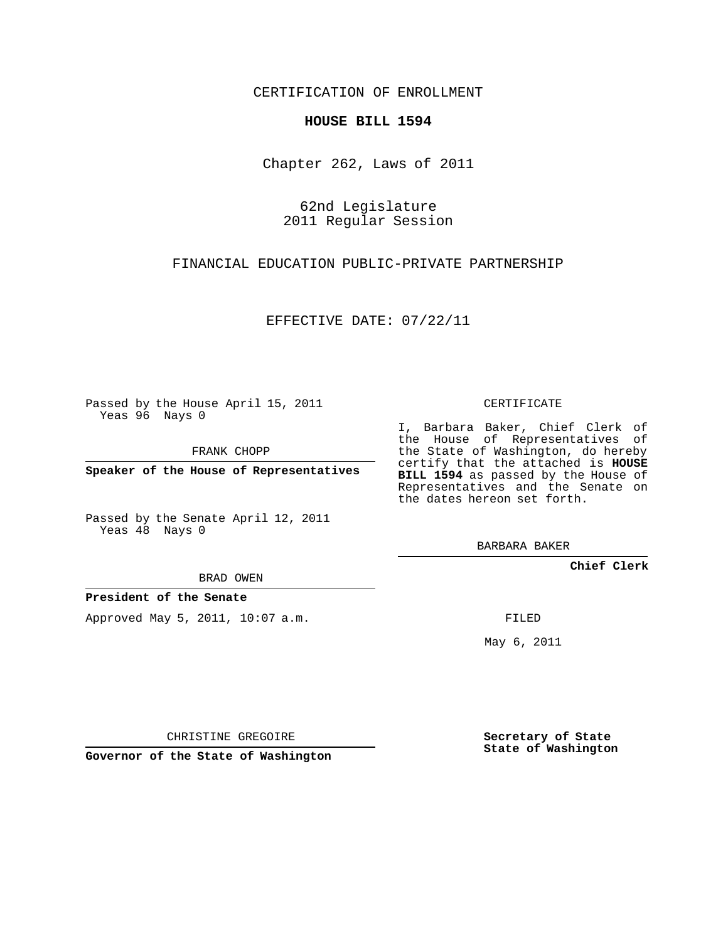CERTIFICATION OF ENROLLMENT

## **HOUSE BILL 1594**

Chapter 262, Laws of 2011

62nd Legislature 2011 Regular Session

FINANCIAL EDUCATION PUBLIC-PRIVATE PARTNERSHIP

EFFECTIVE DATE: 07/22/11

Passed by the House April 15, 2011 Yeas 96 Nays 0

FRANK CHOPP

**Speaker of the House of Representatives**

Passed by the Senate April 12, 2011 Yeas 48 Nays 0

BRAD OWEN

**President of the Senate**

Approved May 5, 2011, 10:07 a.m.

CERTIFICATE

I, Barbara Baker, Chief Clerk of the House of Representatives of the State of Washington, do hereby certify that the attached is **HOUSE BILL 1594** as passed by the House of Representatives and the Senate on the dates hereon set forth.

BARBARA BAKER

**Chief Clerk**

FILED

May 6, 2011

**Secretary of State State of Washington**

CHRISTINE GREGOIRE

**Governor of the State of Washington**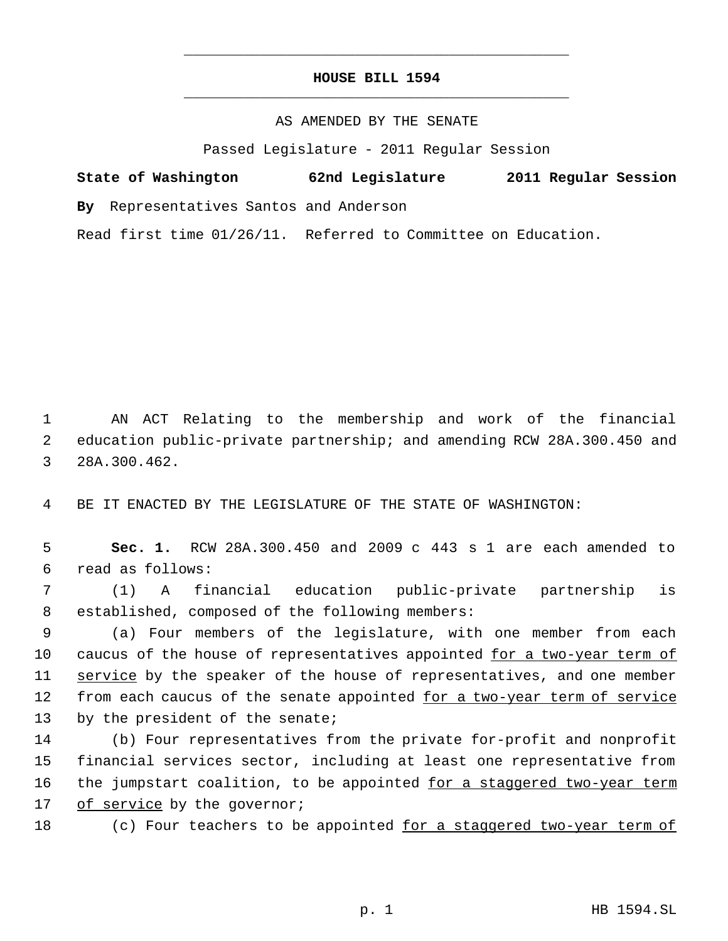## **HOUSE BILL 1594** \_\_\_\_\_\_\_\_\_\_\_\_\_\_\_\_\_\_\_\_\_\_\_\_\_\_\_\_\_\_\_\_\_\_\_\_\_\_\_\_\_\_\_\_\_

\_\_\_\_\_\_\_\_\_\_\_\_\_\_\_\_\_\_\_\_\_\_\_\_\_\_\_\_\_\_\_\_\_\_\_\_\_\_\_\_\_\_\_\_\_

## AS AMENDED BY THE SENATE

Passed Legislature - 2011 Regular Session

|  | State of Washington | 62nd Legislature | 2011 Regular Session |  |
|--|---------------------|------------------|----------------------|--|
|  |                     |                  |                      |  |

**By** Representatives Santos and Anderson

Read first time 01/26/11. Referred to Committee on Education.

 1 AN ACT Relating to the membership and work of the financial 2 education public-private partnership; and amending RCW 28A.300.450 and 3 28A.300.462.

4 BE IT ENACTED BY THE LEGISLATURE OF THE STATE OF WASHINGTON:

 5 **Sec. 1.** RCW 28A.300.450 and 2009 c 443 s 1 are each amended to 6 read as follows:

 7 (1) A financial education public-private partnership is 8 established, composed of the following members:

 9 (a) Four members of the legislature, with one member from each 10 caucus of the house of representatives appointed for a two-year term of 11 service by the speaker of the house of representatives, and one member 12 from each caucus of the senate appointed for a two-year term of service 13 by the president of the senate;

14 (b) Four representatives from the private for-profit and nonprofit 15 financial services sector, including at least one representative from 16 the jumpstart coalition, to be appointed for a staggered two-year term 17 of service by the governor;

18 (c) Four teachers to be appointed for a staggered two-year term of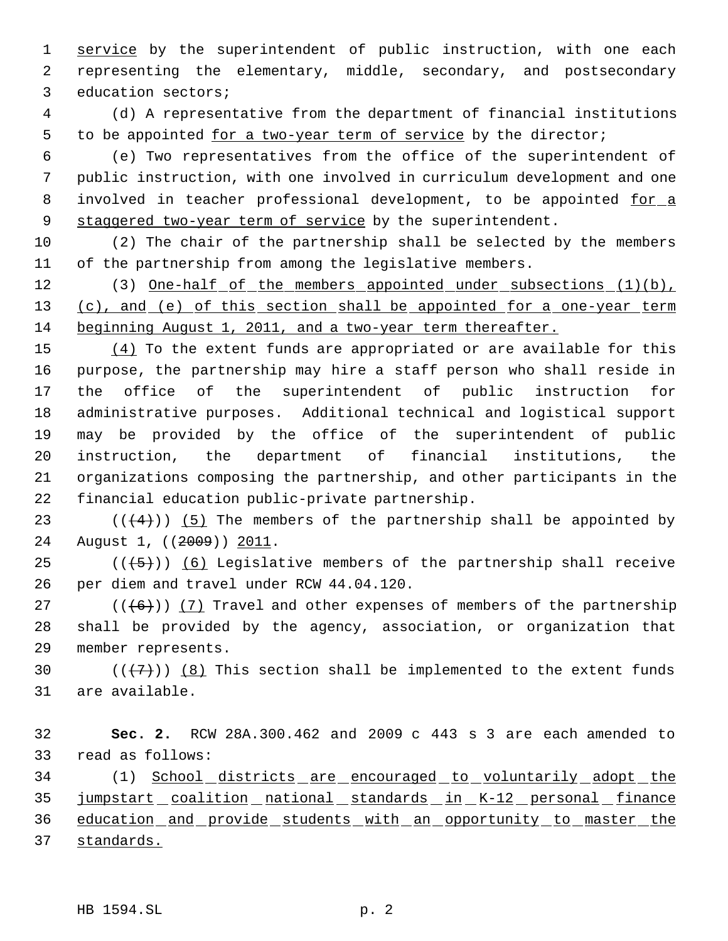1 service by the superintendent of public instruction, with one each representing the elementary, middle, secondary, and postsecondary education sectors;

 (d) A representative from the department of financial institutions 5 to be appointed for a two-year term of service by the director;

 (e) Two representatives from the office of the superintendent of public instruction, with one involved in curriculum development and one 8 involved in teacher professional development, to be appointed for a 9 staggered two-year term of service by the superintendent.

 (2) The chair of the partnership shall be selected by the members of the partnership from among the legislative members.

12 (3) One-half of the members appointed under subsections (1)(b), 13 (c), and (e) of this section shall be appointed for a one-year term beginning August 1, 2011, and a two-year term thereafter.

 $(4)$  To the extent funds are appropriated or are available for this purpose, the partnership may hire a staff person who shall reside in the office of the superintendent of public instruction for administrative purposes. Additional technical and logistical support may be provided by the office of the superintendent of public instruction, the department of financial institutions, the organizations composing the partnership, and other participants in the financial education public-private partnership.

23 ( $(\overline{\langle 4 \rangle})$ ) (5) The members of the partnership shall be appointed by 24 August 1, ((2009)) 2011.

25  $((+5))$  (6) Legislative members of the partnership shall receive per diem and travel under RCW 44.04.120.

27 ( $(\langle 6 \rangle)$ ) (7) Travel and other expenses of members of the partnership shall be provided by the agency, association, or organization that member represents.

30  $((+7)^{n})$  (8) This section shall be implemented to the extent funds are available.

 **Sec. 2.** RCW 28A.300.462 and 2009 c 443 s 3 are each amended to read as follows:

34 (1) School districts are encouraged to voluntarily adopt the 35 jumpstart coalition national standards in K-12 personal finance education and provide students with an opportunity to master the standards.